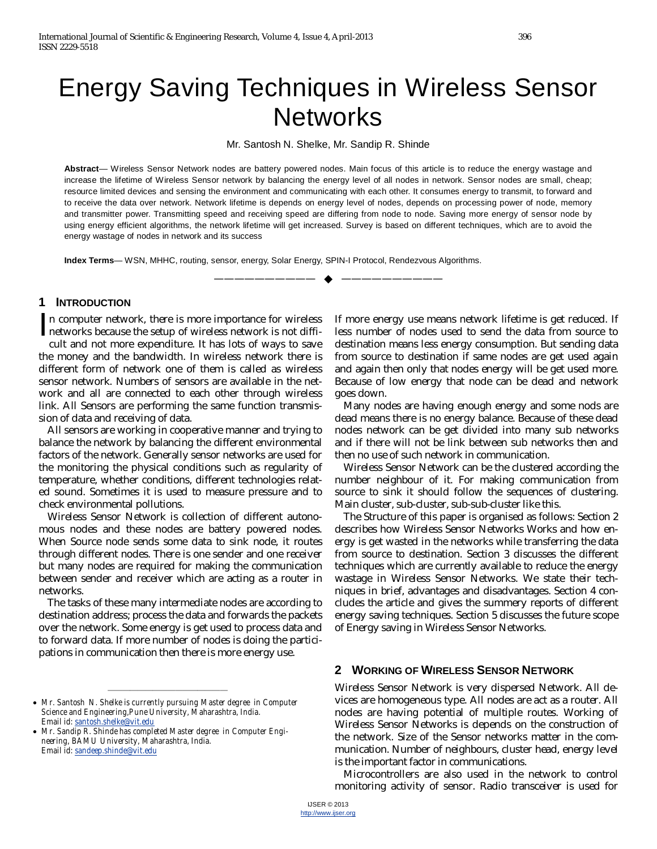# Energy Saving Techniques in Wireless Sensor **Networks**

Mr. Santosh N. Shelke, Mr. Sandip R. Shinde

**Abstract**— Wireless Sensor Network nodes are battery powered nodes. Main focus of this article is to reduce the energy wastage and increase the lifetime of Wireless Sensor network by balancing the energy level of all nodes in network. Sensor nodes are small, cheap; resource limited devices and sensing the environment and communicating with each other. It consumes energy to transmit, to forward and to receive the data over network. Network lifetime is depends on energy level of nodes, depends on processing power of node, memory and transmitter power. Transmitting speed and receiving speed are differing from node to node. Saving more energy of sensor node by using energy efficient algorithms, the network lifetime will get increased. Survey is based on different techniques, which are to avoid the energy wastage of nodes in network and its success

—————————— ——————————

**Index Terms**— WSN, MHHC, routing, sensor, energy, Solar Energy, SPIN-I Protocol, Rendezvous Algorithms.

#### **1 INTRODUCTION**

n computer network, there is more importance for wireless In computer network, there is more importance for wireless<br>networks because the setup of wireless network is not diffi-<br>cult and not more expenditure. It has lots of wave to save cult and not more expenditure. It has lots of ways to save the money and the bandwidth. In wireless network there is different form of network one of them is called as wireless sensor network. Numbers of sensors are available in the network and all are connected to each other through wireless link. All Sensors are performing the same function transmission of data and receiving of data.

All sensors are working in cooperative manner and trying to balance the network by balancing the different environmental factors of the network. Generally sensor networks are used for the monitoring the physical conditions such as regularity of temperature, whether conditions, different technologies related sound. Sometimes it is used to measure pressure and to check environmental pollutions.

Wireless Sensor Network is collection of different autonomous nodes and these nodes are battery powered nodes. When Source node sends some data to sink node, it routes through different nodes. There is one sender and one receiver but many nodes are required for making the communication between sender and receiver which are acting as a router in networks.

The tasks of these many intermediate nodes are according to destination address; process the data and forwards the packets over the network. Some energy is get used to process data and to forward data. If more number of nodes is doing the participations in communication then there is more energy use.

If more energy use means network lifetime is get reduced. If less number of nodes used to send the data from source to destination means less energy consumption. But sending data from source to destination if same nodes are get used again and again then only that nodes energy will be get used more. Because of low energy that node can be dead and network goes down.

Many nodes are having enough energy and some nods are dead means there is no energy balance. Because of these dead nodes network can be get divided into many sub networks and if there will not be link between sub networks then and then no use of such network in communication.

Wireless Sensor Network can be the clustered according the number neighbour of it. For making communication from source to sink it should follow the sequences of clustering. Main cluster, sub-cluster, sub-sub-cluster like this.

The Structure of this paper is organised as follows: Section 2 describes how Wireless Sensor Networks Works and how energy is get wasted in the networks while transferring the data from source to destination. Section 3 discusses the different techniques which are currently available to reduce the energy wastage in Wireless Sensor Networks. We state their techniques in brief, advantages and disadvantages. Section 4 concludes the article and gives the summery reports of different energy saving techniques. Section 5 discusses the future scope of Energy saving in Wireless Sensor Networks.

#### **2 WORKING OF WIRELESS SENSOR NETWORK**

Wireless Sensor Network is very dispersed Network. All devices are homogeneous type. All nodes are act as a router. All nodes are having potential of multiple routes. Working of Wireless Sensor Networks is depends on the construction of the network. Size of the Sensor networks matter in the communication. Number of neighbours, cluster head, energy level is the important factor in communications.

Microcontrollers are also used in the network to control monitoring activity of sensor. Radio transceiver is used for

<sup>————————————————</sup> *Mr. Santosh N. Shelke is currently pursuing Master degree in Computer Science and Engineering,Pune University, Maharashtra, India. Email id: santosh.shelke@vit.edu*

*Mr. Sandip R. Shinde has completed Master degree in Computer Engineering, BAMU University, Maharashtra, India. Email id: sandeep.shinde@vit.edu*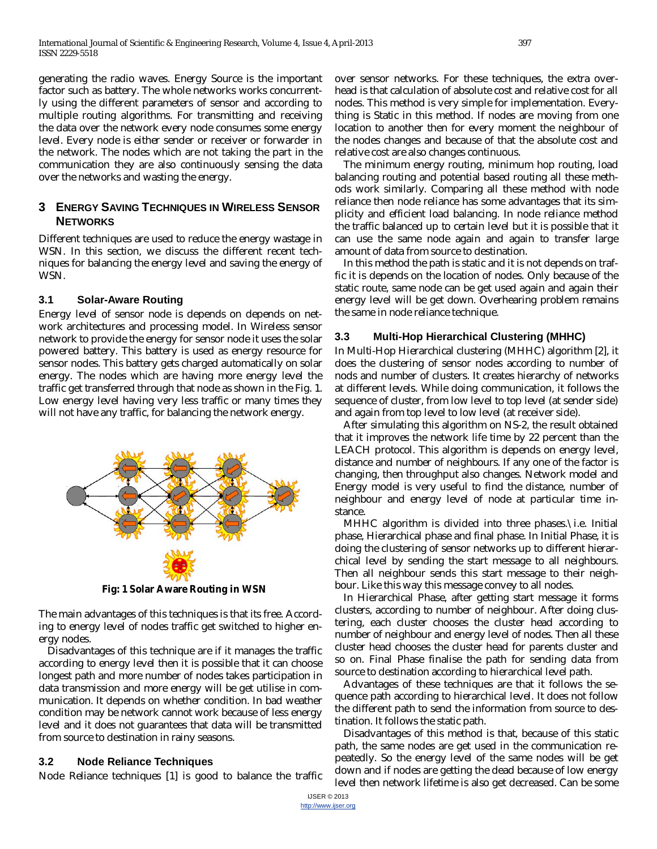generating the radio waves. Energy Source is the important factor such as battery. The whole networks works concurrently using the different parameters of sensor and according to multiple routing algorithms. For transmitting and receiving the data over the network every node consumes some energy level. Every node is either sender or receiver or forwarder in the network. The nodes which are not taking the part in the communication they are also continuously sensing the data over the networks and wasting the energy.

## **3 ENERGY SAVING TECHNIQUES IN WIRELESS SENSOR NETWORKS**

Different techniques are used to reduce the energy wastage in WSN. In this section, we discuss the different recent techniques for balancing the energy level and saving the energy of WSN.

#### **3.1 Solar-Aware Routing**

Energy level of sensor node is depends on depends on network architectures and processing model. In Wireless sensor network to provide the energy for sensor node it uses the solar powered battery. This battery is used as energy resource for sensor nodes. This battery gets charged automatically on solar energy. The nodes which are having more energy level the traffic get transferred through that node as shown in the Fig. 1. Low energy level having very less traffic or many times they will not have any traffic, for balancing the network energy.



**Fig: 1 Solar Aware Routing in WSN**

The main advantages of this techniques is that its free. According to energy level of nodes traffic get switched to higher energy nodes.

Disadvantages of this technique are if it manages the traffic according to energy level then it is possible that it can choose longest path and more number of nodes takes participation in data transmission and more energy will be get utilise in communication. It depends on whether condition. In bad weather condition may be network cannot work because of less energy level and it does not guarantees that data will be transmitted from source to destination in rainy seasons.

# **3.2 Node Reliance Techniques**

Node Reliance techniques [1] is good to balance the traffic

over sensor networks. For these techniques, the extra overhead is that calculation of absolute cost and relative cost for all nodes. This method is very simple for implementation. Everything is Static in this method. If nodes are moving from one location to another then for every moment the neighbour of the nodes changes and because of that the absolute cost and relative cost are also changes continuous.

The minimum energy routing, minimum hop routing, load balancing routing and potential based routing all these methods work similarly. Comparing all these method with node reliance then node reliance has some advantages that its simplicity and efficient load balancing. In node reliance method the traffic balanced up to certain level but it is possible that it can use the same node again and again to transfer large amount of data from source to destination.

In this method the path is static and it is not depends on traffic it is depends on the location of nodes. Only because of the static route, same node can be get used again and again their energy level will be get down. Overhearing problem remains the same in node reliance technique.

## **3.3 Multi-Hop Hierarchical Clustering (MHHC)**

In Multi-Hop Hierarchical clustering (MHHC) algorithm [2], it does the clustering of sensor nodes according to number of nods and number of clusters. It creates hierarchy of networks at different levels. While doing communication, it follows the sequence of cluster, from low level to top level (at sender side) and again from top level to low level (at receiver side).

After simulating this algorithm on NS-2, the result obtained that it improves the network life time by 22 percent than the LEACH protocol. This algorithm is depends on energy level, distance and number of neighbours. If any one of the factor is changing, then throughput also changes. Network model and Energy model is very useful to find the distance, number of neighbour and energy level of node at particular time instance.

MHHC algorithm is divided into three phases.\i.e. Initial phase, Hierarchical phase and final phase. In Initial Phase, it is doing the clustering of sensor networks up to different hierarchical level by sending the start message to all neighbours. Then all neighbour sends this start message to their neighbour. Like this way this message convey to all nodes.

In Hierarchical Phase, after getting start message it forms clusters, according to number of neighbour. After doing clustering, each cluster chooses the cluster head according to number of neighbour and energy level of nodes. Then all these cluster head chooses the cluster head for parents cluster and so on. Final Phase finalise the path for sending data from source to destination according to hierarchical level path.

Advantages of these techniques are that it follows the sequence path according to hierarchical level. It does not follow the different path to send the information from source to destination. It follows the static path.

Disadvantages of this method is that, because of this static path, the same nodes are get used in the communication repeatedly. So the energy level of the same nodes will be get down and if nodes are getting the dead because of low energy level then network lifetime is also get decreased. Can be some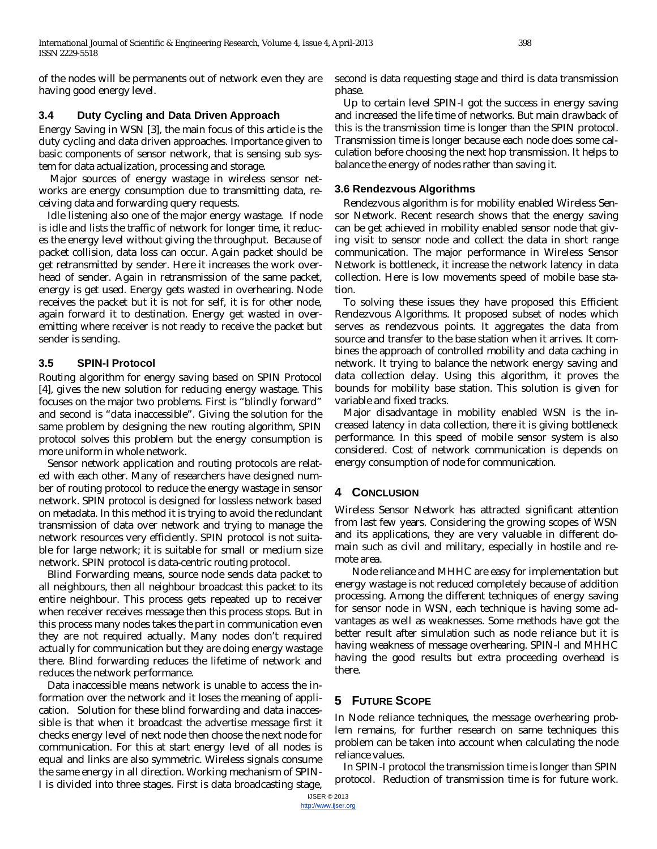of the nodes will be permanents out of network even they are having good energy level.

#### **3.4 Duty Cycling and Data Driven Approach**

Energy Saving in WSN [3], the main focus of this article is the duty cycling and data driven approaches. Importance given to basic components of sensor network, that is sensing sub system for data actualization, processing and storage.

Major sources of energy wastage in wireless sensor networks are energy consumption due to transmitting data, receiving data and forwarding query requests.

Idle listening also one of the major energy wastage. If node is idle and lists the traffic of network for longer time, it reduces the energy level without giving the throughput. Because of packet collision, data loss can occur. Again packet should be get retransmitted by sender. Here it increases the work overhead of sender. Again in retransmission of the same packet, energy is get used. Energy gets wasted in overhearing. Node receives the packet but it is not for self, it is for other node, again forward it to destination. Energy get wasted in overemitting where receiver is not ready to receive the packet but sender is sending.

## **3.5 SPIN-I Protocol**

Routing algorithm for energy saving based on SPIN Protocol [4], gives the new solution for reducing energy wastage. This focuses on the major two problems. First is "blindly forward" and second is "data inaccessible". Giving the solution for the same problem by designing the new routing algorithm, SPIN protocol solves this problem but the energy consumption is more uniform in whole network.

Sensor network application and routing protocols are related with each other. Many of researchers have designed number of routing protocol to reduce the energy wastage in sensor network. SPIN protocol is designed for lossless network based on metadata. In this method it is trying to avoid the redundant transmission of data over network and trying to manage the network resources very efficiently. SPIN protocol is not suitable for large network; it is suitable for small or medium size network. SPIN protocol is data-centric routing protocol.

Blind Forwarding means, source node sends data packet to all neighbours, then all neighbour broadcast this packet to its entire neighbour. This process gets repeated up to receiver when receiver receives message then this process stops. But in this process many nodes takes the part in communication even they are not required actually. Many nodes don't required actually for communication but they are doing energy wastage there. Blind forwarding reduces the lifetime of network and reduces the network performance.

Data inaccessible means network is unable to access the information over the network and it loses the meaning of application. Solution for these blind forwarding and data inaccessible is that when it broadcast the advertise message first it checks energy level of next node then choose the next node for communication. For this at start energy level of all nodes is equal and links are also symmetric. Wireless signals consume the same energy in all direction. Working mechanism of SPIN-I is divided into three stages. First is data broadcasting stage,

second is data requesting stage and third is data transmission phase.

Up to certain level SPIN-I got the success in energy saving and increased the life time of networks. But main drawback of this is the transmission time is longer than the SPIN protocol. Transmission time is longer because each node does some calculation before choosing the next hop transmission. It helps to balance the energy of nodes rather than saving it.

#### **3.6 Rendezvous Algorithms**

Rendezvous algorithm is for mobility enabled Wireless Sensor Network. Recent research shows that the energy saving can be get achieved in mobility enabled sensor node that giving visit to sensor node and collect the data in short range communication. The major performance in Wireless Sensor Network is bottleneck, it increase the network latency in data collection. Here is low movements speed of mobile base station.

To solving these issues they have proposed this Efficient Rendezvous Algorithms. It proposed subset of nodes which serves as rendezvous points. It aggregates the data from source and transfer to the base station when it arrives. It combines the approach of controlled mobility and data caching in network. It trying to balance the network energy saving and data collection delay. Using this algorithm, it proves the bounds for mobility base station. This solution is given for variable and fixed tracks.

Major disadvantage in mobility enabled WSN is the increased latency in data collection, there it is giving bottleneck performance. In this speed of mobile sensor system is also considered. Cost of network communication is depends on energy consumption of node for communication.

# **4 CONCLUSION**

Wireless Sensor Network has attracted significant attention from last few years. Considering the growing scopes of WSN and its applications, they are very valuable in different domain such as civil and military, especially in hostile and remote area.

Node reliance and MHHC are easy for implementation but energy wastage is not reduced completely because of addition processing. Among the different techniques of energy saving for sensor node in WSN, each technique is having some advantages as well as weaknesses. Some methods have got the better result after simulation such as node reliance but it is having weakness of message overhearing. SPIN-I and MHHC having the good results but extra proceeding overhead is there.

# **5 FUTURE SCOPE**

In Node reliance techniques, the message overhearing problem remains, for further research on same techniques this problem can be taken into account when calculating the node reliance values.

In SPIN-I protocol the transmission time is longer than SPIN protocol. Reduction of transmission time is for future work.